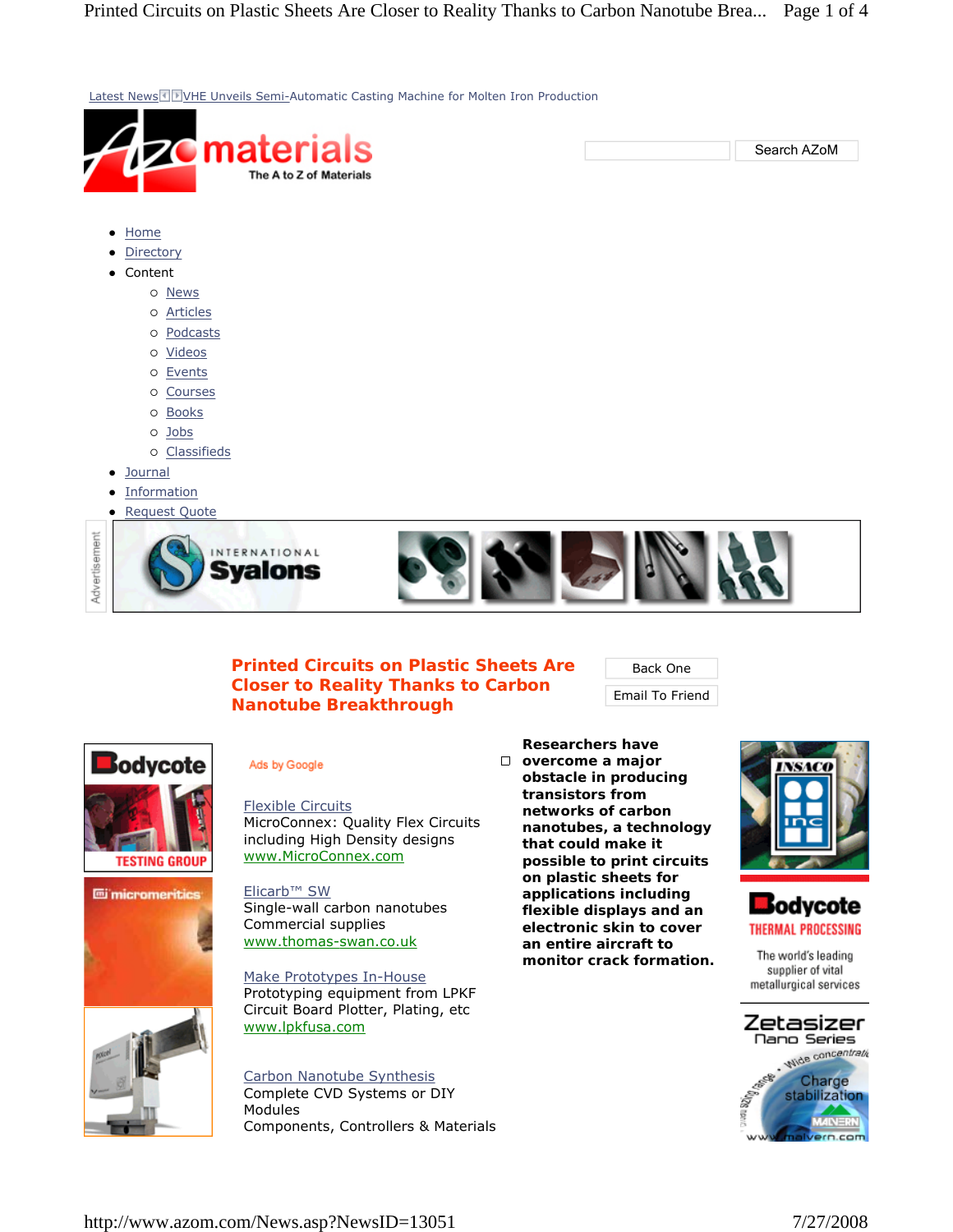Latest News I FVHE Unveils Semi-Automatic Casting Machine for Molten Iron Production material Search AZoM The A to Z of Materials • Home • Directory • Content { News { Articles { Podcasts { Videos o Events  $O$  Courses { Books { Jobs { Classifieds • Journal • Information **Request Quote** Advertisement INTERNATIONAL Svalons

## **Printed Circuits on Plastic Sheets Are Closer to Reality Thanks to Carbon Nanotube Breakthrough**

Back One

Email To Friend



## Ads by Google

Flexible Circuits MicroConnex: Quality Flex Circuits including High Density designs www.MicroConnex.com

Elicarb™ SW Single-wall carbon nanotubes Commercial supplies www.thomas-swan.co.uk

Make Prototypes In-House Prototyping equipment from LPKF Circuit Board Plotter, Plating, etc www.lpkfusa.com

Carbon Nanotube Synthesis Complete CVD Systems or DIY Modules Components, Controllers & Materials

**Researchers have overcome a major obstacle in producing transistors from networks of carbon nanotubes, a technology that could make it possible to print circuits on plastic sheets for applications including flexible displays and an electronic skin to cover an entire aircraft to monitor crack formation.** 





The world's leading supplier of vital metallurgical services

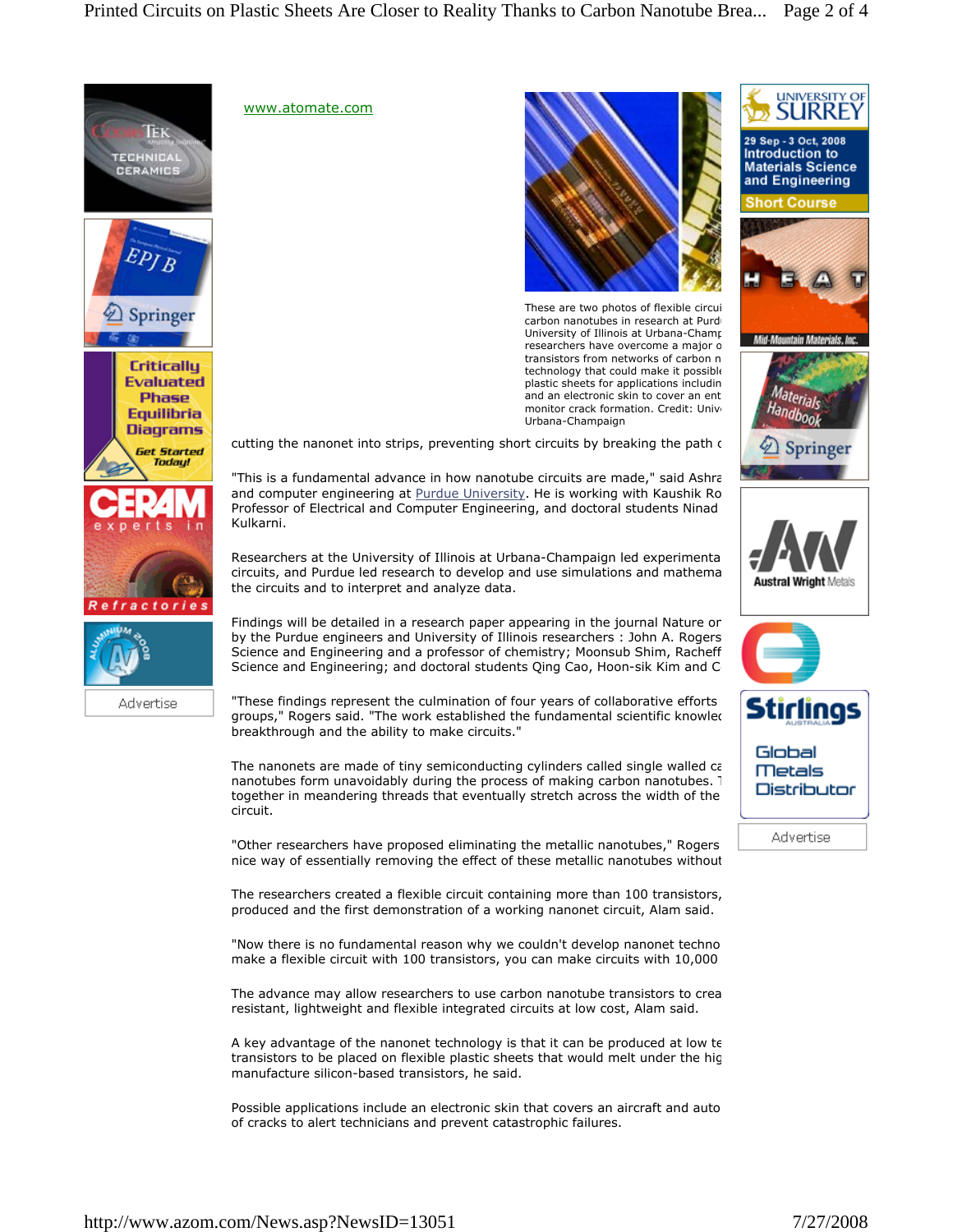



www.atomate.com



These are two photos of flexible circui carbon nanotubes in research at Purd University of Illinois at Urbana-Champ researchers have overcome a major o transistors from networks of carbon n technology that could make it possible plastic sheets for applications includin and an electronic skin to cover an ent monitor crack formation. Credit: Unive Urbana-Champaign

cutting the nanonet into strips, preventing short circuits by breaking the path of

"This is a fundamental advance in how nanotube circuits are made," said Ashra and computer engineering at **Purdue University**. He is working with Kaushik Ro Professor of Electrical and Computer Engineering, and doctoral students Ninad Kulkarni.

Researchers at the University of Illinois at Urbana-Champaign led experimenta circuits, and Purdue led research to develop and use simulations and mathema the circuits and to interpret and analyze data.

Findings will be detailed in a research paper appearing in the journal Nature on by the Purdue engineers and University of Illinois researchers : John A. Rogers Science and Engineering and a professor of chemistry; Moonsub Shim, Racheff Science and Engineering; and doctoral students Qing Cao, Hoon-sik Kim and C

"These findings represent the culmination of four years of collaborative efforts groups," Rogers said. "The work established the fundamental scientific knowled breakthrough and the ability to make circuits."

The nanonets are made of tiny semiconducting cylinders called single walled ca nanotubes form unavoidably during the process of making carbon nanotubes. 1 together in meandering threads that eventually stretch across the width of the circuit.

"Other researchers have proposed eliminating the metallic nanotubes," Rogers nice way of essentially removing the effect of these metallic nanotubes without

The researchers created a flexible circuit containing more than 100 transistors, produced and the first demonstration of a working nanonet circuit, Alam said.

"Now there is no fundamental reason why we couldn't develop nanonet techno make a flexible circuit with 100 transistors, you can make circuits with 10,000

The advance may allow researchers to use carbon nanotube transistors to crea resistant, lightweight and flexible integrated circuits at low cost, Alam said.

A key advantage of the nanonet technology is that it can be produced at low te transistors to be placed on flexible plastic sheets that would melt under the hig manufacture silicon-based transistors, he said.

Possible applications include an electronic skin that covers an aircraft and auto of cracks to alert technicians and prevent catastrophic failures.



UNIVERSITY OF

29 Sep - 3 Oct, 2008 Introduction to

**Materials Science** and Engineering Short Course

Advertise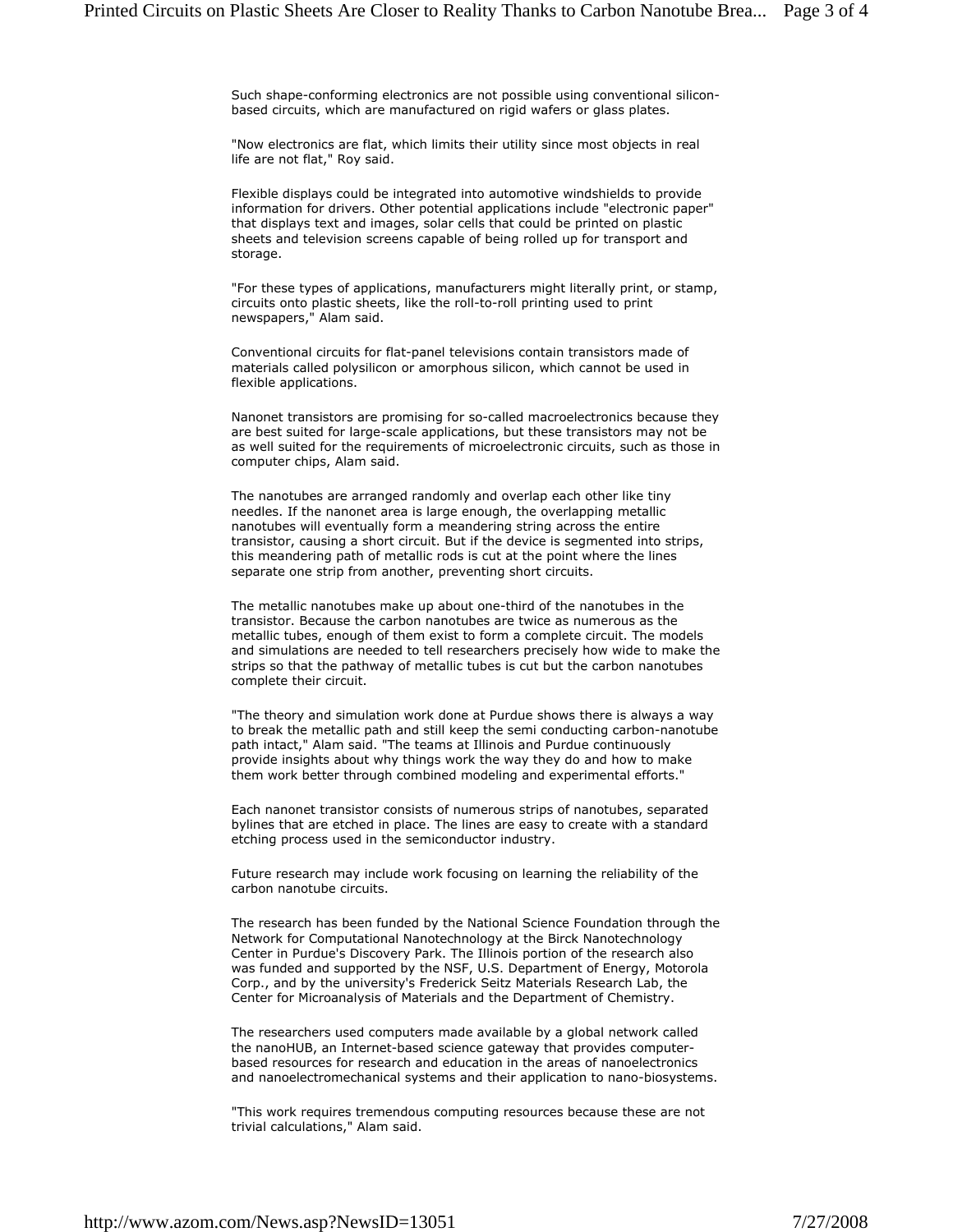Such shape-conforming electronics are not possible using conventional siliconbased circuits, which are manufactured on rigid wafers or glass plates.

"Now electronics are flat, which limits their utility since most objects in real life are not flat," Roy said.

Flexible displays could be integrated into automotive windshields to provide information for drivers. Other potential applications include "electronic paper" that displays text and images, solar cells that could be printed on plastic sheets and television screens capable of being rolled up for transport and storage.

"For these types of applications, manufacturers might literally print, or stamp, circuits onto plastic sheets, like the roll-to-roll printing used to print newspapers," Alam said.

Conventional circuits for flat-panel televisions contain transistors made of materials called polysilicon or amorphous silicon, which cannot be used in flexible applications.

Nanonet transistors are promising for so-called macroelectronics because they are best suited for large-scale applications, but these transistors may not be as well suited for the requirements of microelectronic circuits, such as those in computer chips, Alam said.

The nanotubes are arranged randomly and overlap each other like tiny needles. If the nanonet area is large enough, the overlapping metallic nanotubes will eventually form a meandering string across the entire transistor, causing a short circuit. But if the device is segmented into strips, this meandering path of metallic rods is cut at the point where the lines separate one strip from another, preventing short circuits.

The metallic nanotubes make up about one-third of the nanotubes in the transistor. Because the carbon nanotubes are twice as numerous as the metallic tubes, enough of them exist to form a complete circuit. The models and simulations are needed to tell researchers precisely how wide to make the strips so that the pathway of metallic tubes is cut but the carbon nanotubes complete their circuit.

"The theory and simulation work done at Purdue shows there is always a way to break the metallic path and still keep the semi conducting carbon-nanotube path intact," Alam said. "The teams at Illinois and Purdue continuously provide insights about why things work the way they do and how to make them work better through combined modeling and experimental efforts."

Each nanonet transistor consists of numerous strips of nanotubes, separated bylines that are etched in place. The lines are easy to create with a standard etching process used in the semiconductor industry.

Future research may include work focusing on learning the reliability of the carbon nanotube circuits.

The research has been funded by the National Science Foundation through the Network for Computational Nanotechnology at the Birck Nanotechnology Center in Purdue's Discovery Park. The Illinois portion of the research also was funded and supported by the NSF, U.S. Department of Energy, Motorola Corp., and by the university's Frederick Seitz Materials Research Lab, the Center for Microanalysis of Materials and the Department of Chemistry.

The researchers used computers made available by a global network called the nanoHUB, an Internet-based science gateway that provides computerbased resources for research and education in the areas of nanoelectronics and nanoelectromechanical systems and their application to nano-biosystems.

"This work requires tremendous computing resources because these are not trivial calculations," Alam said.